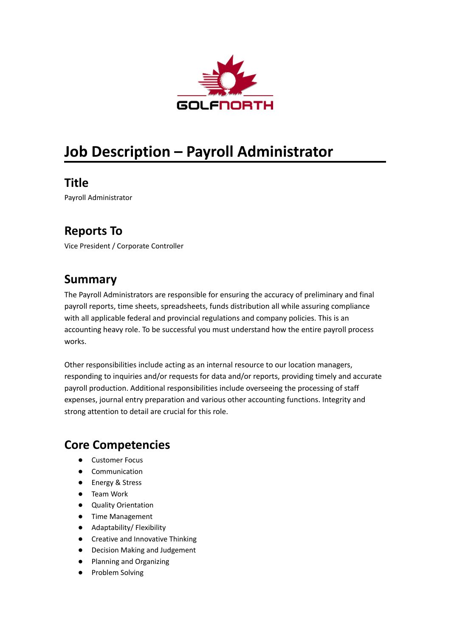

# **Job Description – Payroll Administrator**

**Title**

Payroll Administrator

## **Reports To**

Vice President / Corporate Controller

### **Summary**

The Payroll Administrators are responsible for ensuring the accuracy of preliminary and final payroll reports, time sheets, spreadsheets, funds distribution all while assuring compliance with all applicable federal and provincial regulations and company policies. This is an accounting heavy role. To be successful you must understand how the entire payroll process works.

Other responsibilities include acting as an internal resource to our location managers, responding to inquiries and/or requests for data and/or reports, providing timely and accurate payroll production. Additional responsibilities include overseeing the processing of staff expenses, journal entry preparation and various other accounting functions. Integrity and strong attention to detail are crucial for this role.

## **Core Competencies**

- Customer Focus
- Communication
- Energy & Stress
- Team Work
- Quality Orientation
- Time Management
- Adaptability/ Flexibility
- Creative and Innovative Thinking
- Decision Making and Judgement
- Planning and Organizing
- Problem Solving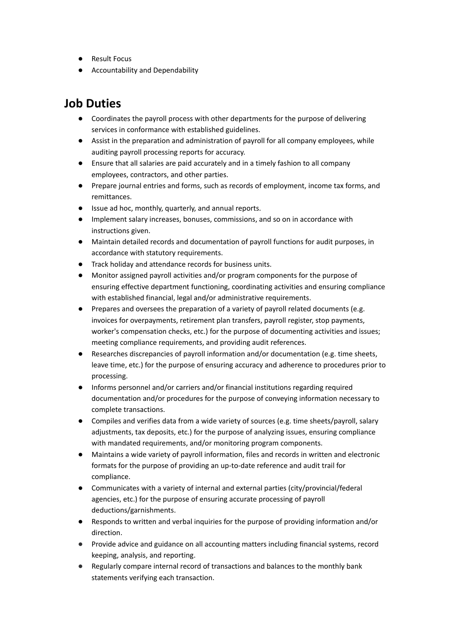- Result Focus
- Accountability and Dependability

#### **Job Duties**

- Coordinates the payroll process with other departments for the purpose of delivering services in conformance with established guidelines.
- Assist in the preparation and administration of payroll for all company employees, while auditing payroll processing reports for accuracy.
- Ensure that all salaries are paid accurately and in a timely fashion to all company employees, contractors, and other parties.
- Prepare journal entries and forms, such as records of employment, income tax forms, and remittances.
- Issue ad hoc, monthly, quarterly, and annual reports.
- Implement salary increases, bonuses, commissions, and so on in accordance with instructions given.
- Maintain detailed records and documentation of payroll functions for audit purposes, in accordance with statutory requirements.
- Track holiday and attendance records for business units.
- Monitor assigned payroll activities and/or program components for the purpose of ensuring effective department functioning, coordinating activities and ensuring compliance with established financial, legal and/or administrative requirements.
- Prepares and oversees the preparation of a variety of payroll related documents (e.g. invoices for overpayments, retirement plan transfers, payroll register, stop payments, worker's compensation checks, etc.) for the purpose of documenting activities and issues; meeting compliance requirements, and providing audit references.
- Researches discrepancies of payroll information and/or documentation (e.g. time sheets, leave time, etc.) for the purpose of ensuring accuracy and adherence to procedures prior to processing.
- Informs personnel and/or carriers and/or financial institutions regarding required documentation and/or procedures for the purpose of conveying information necessary to complete transactions.
- Compiles and verifies data from a wide variety of sources (e.g. time sheets/payroll, salary adjustments, tax deposits, etc.) for the purpose of analyzing issues, ensuring compliance with mandated requirements, and/or monitoring program components.
- Maintains a wide variety of payroll information, files and records in written and electronic formats for the purpose of providing an up-to-date reference and audit trail for compliance.
- Communicates with a variety of internal and external parties (city/provincial/federal agencies, etc.) for the purpose of ensuring accurate processing of payroll deductions/garnishments.
- Responds to written and verbal inquiries for the purpose of providing information and/or direction.
- Provide advice and guidance on all accounting matters including financial systems, record keeping, analysis, and reporting.
- Regularly compare internal record of transactions and balances to the monthly bank statements verifying each transaction.